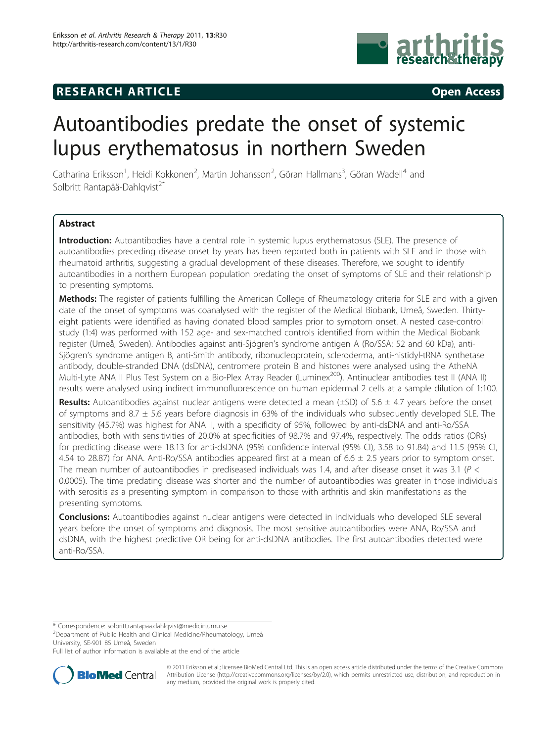## **RESEARCH ARTICLE Example 2014 CONSIDERING ACCESS**



# Autoantibodies predate the onset of systemic lupus erythematosus in northern Sweden

Catharina Eriksson<sup>1</sup>, Heidi Kokkonen<sup>2</sup>, Martin Johansson<sup>2</sup>, Göran Hallmans<sup>3</sup>, Göran Wadell<sup>4</sup> and Solbritt Rantapää-Dahlqvist<sup>2\*</sup>

## Abstract

Introduction: Autoantibodies have a central role in systemic lupus erythematosus (SLE). The presence of autoantibodies preceding disease onset by years has been reported both in patients with SLE and in those with rheumatoid arthritis, suggesting a gradual development of these diseases. Therefore, we sought to identify autoantibodies in a northern European population predating the onset of symptoms of SLE and their relationship to presenting symptoms.

Methods: The register of patients fulfilling the American College of Rheumatology criteria for SLE and with a given date of the onset of symptoms was coanalysed with the register of the Medical Biobank, Umeå, Sweden. Thirtyeight patients were identified as having donated blood samples prior to symptom onset. A nested case-control study (1:4) was performed with 152 age- and sex-matched controls identified from within the Medical Biobank register (Umeå, Sweden). Antibodies against anti-Sjögren's syndrome antigen A (Ro/SSA; 52 and 60 kDa), anti-Sjögren's syndrome antigen B, anti-Smith antibody, ribonucleoprotein, scleroderma, anti-histidyl-tRNA synthetase antibody, double-stranded DNA (dsDNA), centromere protein B and histones were analysed using the AtheNA Multi-Lyte ANA II Plus Test System on a Bio-Plex Array Reader (Luminex<sup>200</sup>). Antinuclear antibodies test II (ANA II) results were analysed using indirect immunofluorescence on human epidermal 2 cells at a sample dilution of 1:100.

**Results:** Autoantibodies against nuclear antigens were detected a mean ( $\pm$ SD) of 5.6  $\pm$  4.7 years before the onset of symptoms and 8.7 ± 5.6 years before diagnosis in 63% of the individuals who subsequently developed SLE. The sensitivity (45.7%) was highest for ANA II, with a specificity of 95%, followed by anti-dsDNA and anti-Ro/SSA antibodies, both with sensitivities of 20.0% at specificities of 98.7% and 97.4%, respectively. The odds ratios (ORs) for predicting disease were 18.13 for anti-dsDNA (95% confidence interval (95% CI), 3.58 to 91.84) and 11.5 (95% CI, 4.54 to 28.87) for ANA. Anti-Ro/SSA antibodies appeared first at a mean of  $6.6 \pm 2.5$  years prior to symptom onset. The mean number of autoantibodies in prediseased individuals was 1.4, and after disease onset it was 3.1 ( $P <$ 0.0005). The time predating disease was shorter and the number of autoantibodies was greater in those individuals with serositis as a presenting symptom in comparison to those with arthritis and skin manifestations as the presenting symptoms.

**Conclusions:** Autoantibodies against nuclear antigens were detected in individuals who developed SLE several years before the onset of symptoms and diagnosis. The most sensitive autoantibodies were ANA, Ro/SSA and dsDNA, with the highest predictive OR being for anti-dsDNA antibodies. The first autoantibodies detected were anti-Ro/SSA.

\* Correspondence: [solbritt.rantapaa.dahlqvist@medicin.umu.se](mailto:solbritt.rantapaa.dahlqvist@medicin.umu.se)

<sup>2</sup> Department of Public Health and Clinical Medicine/Rheumatology, Umeå University, SE-901 85 Umeå, Sweden

Full list of author information is available at the end of the article



© 2011 Eriksson et al.; licensee BioMed Central Ltd. This is an open access article distributed under the terms of the Creative Commons Attribution License [\(http://creativecommons.org/licenses/by/2.0](http://creativecommons.org/licenses/by/2.0)), which permits unrestricted use, distribution, and reproduction in any medium, provided the original work is properly cited.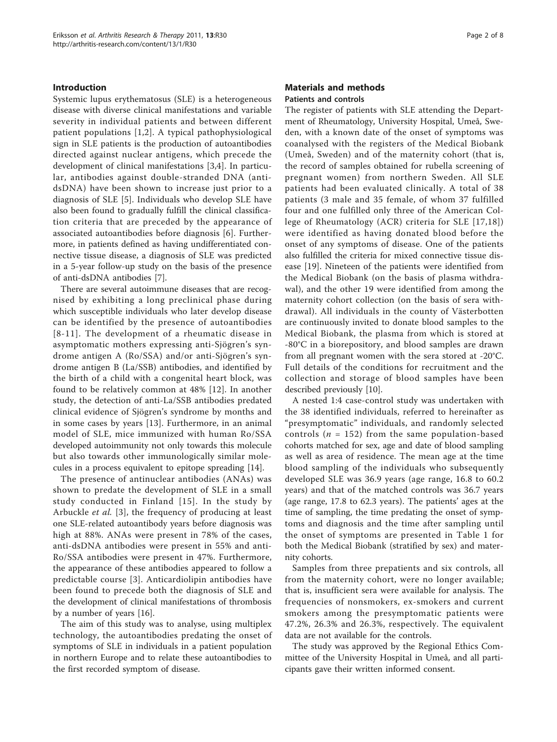## Introduction

Systemic lupus erythematosus (SLE) is a heterogeneous disease with diverse clinical manifestations and variable severity in individual patients and between different patient populations [[1,2\]](#page-6-0). A typical pathophysiological sign in SLE patients is the production of autoantibodies directed against nuclear antigens, which precede the development of clinical manifestations [[3](#page-6-0),[4\]](#page-6-0). In particular, antibodies against double-stranded DNA (antidsDNA) have been shown to increase just prior to a diagnosis of SLE [[5\]](#page-6-0). Individuals who develop SLE have also been found to gradually fulfill the clinical classification criteria that are preceded by the appearance of associated autoantibodies before diagnosis [[6\]](#page-6-0). Furthermore, in patients defined as having undifferentiated connective tissue disease, a diagnosis of SLE was predicted in a 5-year follow-up study on the basis of the presence of anti-dsDNA antibodies [\[7](#page-6-0)].

There are several autoimmune diseases that are recognised by exhibiting a long preclinical phase during which susceptible individuals who later develop disease can be identified by the presence of autoantibodies [[8-](#page-6-0)[11\]](#page-7-0). The development of a rheumatic disease in asymptomatic mothers expressing anti-Sjögren's syndrome antigen A (Ro/SSA) and/or anti-Sjögren's syndrome antigen B (La/SSB) antibodies, and identified by the birth of a child with a congenital heart block, was found to be relatively common at 48% [[12\]](#page-7-0). In another study, the detection of anti-La/SSB antibodies predated clinical evidence of Sjögren's syndrome by months and in some cases by years [\[13\]](#page-7-0). Furthermore, in an animal model of SLE, mice immunized with human Ro/SSA developed autoimmunity not only towards this molecule but also towards other immunologically similar molecules in a process equivalent to epitope spreading [[14](#page-7-0)].

The presence of antinuclear antibodies (ANAs) was shown to predate the development of SLE in a small study conducted in Finland [[15\]](#page-7-0). In the study by Arbuckle et al. [[3\]](#page-6-0), the frequency of producing at least one SLE-related autoantibody years before diagnosis was high at 88%. ANAs were present in 78% of the cases, anti-dsDNA antibodies were present in 55% and anti-Ro/SSA antibodies were present in 47%. Furthermore, the appearance of these antibodies appeared to follow a predictable course [[3](#page-6-0)]. Anticardiolipin antibodies have been found to precede both the diagnosis of SLE and the development of clinical manifestations of thrombosis by a number of years [\[16](#page-7-0)].

The aim of this study was to analyse, using multiplex technology, the autoantibodies predating the onset of symptoms of SLE in individuals in a patient population in northern Europe and to relate these autoantibodies to the first recorded symptom of disease.

## Materials and methods Patients and controls

The register of patients with SLE attending the Department of Rheumatology, University Hospital, Umeå, Sweden, with a known date of the onset of symptoms was coanalysed with the registers of the Medical Biobank (Umeå, Sweden) and of the maternity cohort (that is, the record of samples obtained for rubella screening of pregnant women) from northern Sweden. All SLE patients had been evaluated clinically. A total of 38 patients (3 male and 35 female, of whom 37 fulfilled four and one fulfilled only three of the American College of Rheumatology (ACR) criteria for SLE [[17](#page-7-0),[18](#page-7-0)]) were identified as having donated blood before the onset of any symptoms of disease. One of the patients also fulfilled the criteria for mixed connective tissue disease [[19\]](#page-7-0). Nineteen of the patients were identified from the Medical Biobank (on the basis of plasma withdrawal), and the other 19 were identified from among the maternity cohort collection (on the basis of sera withdrawal). All individuals in the county of Västerbotten are continuously invited to donate blood samples to the Medical Biobank, the plasma from which is stored at -80°C in a biorepository, and blood samples are drawn from all pregnant women with the sera stored at -20°C. Full details of the conditions for recruitment and the collection and storage of blood samples have been described previously [\[10\]](#page-7-0).

A nested 1:4 case-control study was undertaken with the 38 identified individuals, referred to hereinafter as "presymptomatic" individuals, and randomly selected controls ( $n = 152$ ) from the same population-based cohorts matched for sex, age and date of blood sampling as well as area of residence. The mean age at the time blood sampling of the individuals who subsequently developed SLE was 36.9 years (age range, 16.8 to 60.2 years) and that of the matched controls was 36.7 years (age range, 17.8 to 62.3 years). The patients' ages at the time of sampling, the time predating the onset of symptoms and diagnosis and the time after sampling until the onset of symptoms are presented in Table [1](#page-2-0) for both the Medical Biobank (stratified by sex) and maternity cohorts.

Samples from three prepatients and six controls, all from the maternity cohort, were no longer available; that is, insufficient sera were available for analysis. The frequencies of nonsmokers, ex-smokers and current smokers among the presymptomatic patients were 47.2%, 26.3% and 26.3%, respectively. The equivalent data are not available for the controls.

The study was approved by the Regional Ethics Committee of the University Hospital in Umeå, and all participants gave their written informed consent.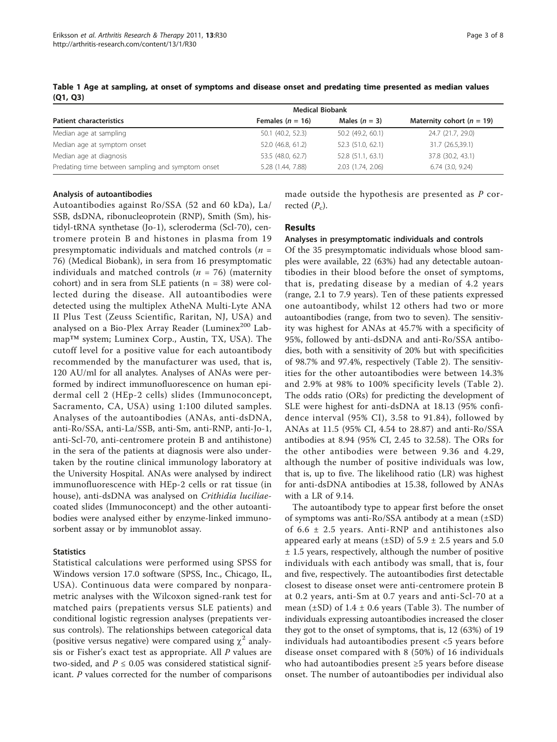|                                                   | <b>Medical Biobank</b> |                   |                               |
|---------------------------------------------------|------------------------|-------------------|-------------------------------|
| <b>Patient characteristics</b>                    | Females $(n = 16)$     | Males $(n = 3)$   | Maternity cohort ( $n = 19$ ) |
| Median age at sampling                            | 50.1 (40.2, 52.3)      | 50.2 (49.2, 60.1) | 24.7 (21.7, 29.0)             |
| Median age at symptom onset                       | 52.0 (46.8, 61.2)      | 52.3 (51.0, 62.1) | 31.7 (26.5,39.1)              |
| Median age at diagnosis                           | 53.5 (48.0, 62.7)      | 52.8 (51.1, 63.1) | 37.8 (30.2, 43.1)             |
| Predating time between sampling and symptom onset | 5.28 (1.44, 7.88)      | 2.03 (1.74, 2.06) | $6.74$ $(3.0, 9.24)$          |

<span id="page-2-0"></span>Table 1 Age at sampling, at onset of symptoms and disease onset and predating time presented as median values (Q1, Q3)

## Analysis of autoantibodies

Autoantibodies against Ro/SSA (52 and 60 kDa), La/ SSB, dsDNA, ribonucleoprotein (RNP), Smith (Sm), histidyl-tRNA synthetase (Jo-1), scleroderma (Scl-70), centromere protein B and histones in plasma from 19 presymptomatic individuals and matched controls ( $n =$ 76) (Medical Biobank), in sera from 16 presymptomatic individuals and matched controls ( $n = 76$ ) (maternity cohort) and in sera from SLE patients  $(n = 38)$  were collected during the disease. All autoantibodies were detected using the multiplex AtheNA Multi-Lyte ANA II Plus Test (Zeuss Scientific, Raritan, NJ, USA) and analysed on a Bio-Plex Array Reader (Luminex<sup>200</sup> Labmap™ system; Luminex Corp., Austin, TX, USA). The cutoff level for a positive value for each autoantibody recommended by the manufacturer was used, that is, 120 AU/ml for all analytes. Analyses of ANAs were performed by indirect immunofluorescence on human epidermal cell 2 (HEp-2 cells) slides (Immunoconcept, Sacramento, CA, USA) using 1:100 diluted samples. Analyses of the autoantibodies (ANAs, anti-dsDNA, anti-Ro/SSA, anti-La/SSB, anti-Sm, anti-RNP, anti-Jo-1, anti-Scl-70, anti-centromere protein B and antihistone) in the sera of the patients at diagnosis were also undertaken by the routine clinical immunology laboratory at the University Hospital. ANAs were analysed by indirect immunofluorescence with HEp-2 cells or rat tissue (in house), anti-dsDNA was analysed on *Crithidia luciliae*coated slides (Immunoconcept) and the other autoantibodies were analysed either by enzyme-linked immunosorbent assay or by immunoblot assay.

## **Statistics**

Statistical calculations were performed using SPSS for Windows version 17.0 software (SPSS, Inc., Chicago, IL, USA). Continuous data were compared by nonparametric analyses with the Wilcoxon signed-rank test for matched pairs (prepatients versus SLE patients) and conditional logistic regression analyses (prepatients versus controls). The relationships between categorical data (positive versus negative) were compared using  $\chi^2$  analysis or Fisher's exact test as appropriate. All P values are two-sided, and  $P \le 0.05$  was considered statistical significant. P values corrected for the number of comparisons made outside the hypothesis are presented as P corrected  $(P_c)$ .

## Results

### Analyses in presymptomatic individuals and controls

Of the 35 presymptomatic individuals whose blood samples were available, 22 (63%) had any detectable autoantibodies in their blood before the onset of symptoms, that is, predating disease by a median of 4.2 years (range, 2.1 to 7.9 years). Ten of these patients expressed one autoantibody, whilst 12 others had two or more autoantibodies (range, from two to seven). The sensitivity was highest for ANAs at 45.7% with a specificity of 95%, followed by anti-dsDNA and anti-Ro/SSA antibodies, both with a sensitivity of 20% but with specificities of 98.7% and 97.4%, respectively (Table [2](#page-3-0)). The sensitivities for the other autoantibodies were between 14.3% and 2.9% at 98% to 100% specificity levels (Table [2\)](#page-3-0). The odds ratio (ORs) for predicting the development of SLE were highest for anti-dsDNA at 18.13 (95% confidence interval (95% CI), 3.58 to 91.84), followed by ANAs at 11.5 (95% CI, 4.54 to 28.87) and anti-Ro/SSA antibodies at 8.94 (95% CI, 2.45 to 32.58). The ORs for the other antibodies were between 9.36 and 4.29, although the number of positive individuals was low, that is, up to five. The likelihood ratio (LR) was highest for anti-dsDNA antibodies at 15.38, followed by ANAs with a LR of 9.14.

The autoantibody type to appear first before the onset of symptoms was anti-Ro/SSA antibody at a mean  $(\pm SD)$ of 6.6 ± 2.5 years. Anti-RNP and antihistones also appeared early at means ( $\pm$ SD) of 5.9  $\pm$  2.5 years and 5.0 ± 1.5 years, respectively, although the number of positive individuals with each antibody was small, that is, four and five, respectively. The autoantibodies first detectable closest to disease onset were anti-centromere protein B at 0.2 years, anti-Sm at 0.7 years and anti-Scl-70 at a mean  $(\pm SD)$  of 1.4  $\pm$  0.6 years (Table [3](#page-3-0)). The number of individuals expressing autoantibodies increased the closer they got to the onset of symptoms, that is, 12 (63%) of 19 individuals had autoantibodies present <5 years before disease onset compared with 8 (50%) of 16 individuals who had autoantibodies present ≥5 years before disease onset. The number of autoantibodies per individual also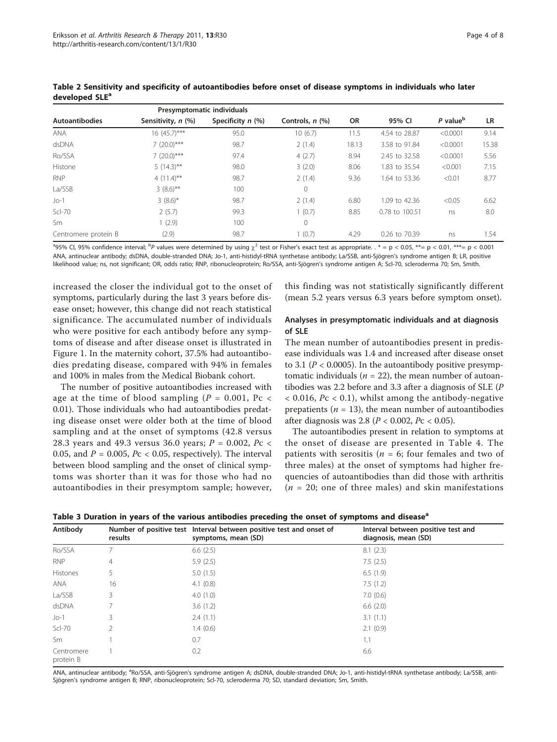|                       | Presymptomatic individuals |                     |                 |           |                |                      |           |
|-----------------------|----------------------------|---------------------|-----------------|-----------|----------------|----------------------|-----------|
| <b>Autoantibodies</b> | Sensitivity, n (%)         | Specificity $n$ (%) | Controls, n (%) | <b>OR</b> | 95% CI         | P value <sup>b</sup> | <b>LR</b> |
| <b>ANA</b>            | 16 (45.7)***               | 95.0                | 10(6.7)         | 11.5      | 4.54 to 28.87  | < 0.0001             | 9.14      |
| dsDNA                 | $7(20.0)$ ***              | 98.7                | 2(1.4)          | 18.13     | 3.58 to 91.84  | < 0.0001             | 15.38     |
| Ro/SSA                | $7(20.0)$ ***              | 97.4                | 4(2.7)          | 8.94      | 2.45 to 32.58  | < 0.0001             | 5.56      |
| Histone               | $5(14.3)$ **               | 98.0                | 3(2.0)          | 8.06      | 1.83 to 35.54  | < 0.001              | 7.15      |
| <b>RNP</b>            | $4(11.4)$ **               | 98.7                | 2(1.4)          | 9.36      | 1.64 to 53.36  | < 0.01               | 8.77      |
| La/SSB                | $3(8.6)$ **                | 100                 | 0               |           |                |                      |           |
| $Jo-1$                | $3(8.6)^{*}$               | 98.7                | 2(1.4)          | 6.80      | 1.09 to 42.36  | < 0.05               | 6.62      |
| $Scl-70$              | 2(5.7)                     | 99.3                | 1(0.7)          | 8.85      | 0.78 to 100.51 | ns                   | 8.0       |
| Sm                    | 1(2.9)                     | 100                 | 0               |           |                |                      |           |
| Centromere protein B  | (2.9)                      | 98.7                | 1(0.7)          | 4.29      | 0.26 to 70.39  | ns                   | 1.54      |

<span id="page-3-0"></span>Table 2 Sensitivity and specificity of autoantibodies before onset of disease symptoms in individuals who later developed SLE<sup>a</sup>

 $^3$ 95% Cl, 95% confidence interval;  $^{\rm b}P$  values were determined by using  $\chi^2$  test or Fisher's exact test as appropriate. .  $^*$  = p < 0.05,  $^{**}$ = p < 0.01,  $^{***}$ = p < 0.001 ANA, antinuclear antibody; dsDNA, double-stranded DNA; Jo-1, anti-histidyl-tRNA synthetase antibody; La/SSB, anti-Sjögren's syndrome antigen B; LR, positive likelihood value; ns, not significant; OR, odds ratio; RNP, ribonucleoprotein; Ro/SSA, anti-Sjögren's syndrome antigen A; Scl-70, scleroderma 70; Sm, Smith.

increased the closer the individual got to the onset of symptoms, particularly during the last 3 years before disease onset; however, this change did not reach statistical significance. The accumulated number of individuals who were positive for each antibody before any symptoms of disease and after disease onset is illustrated in Figure [1.](#page-4-0) In the maternity cohort, 37.5% had autoantibodies predating disease, compared with 94% in females and 100% in males from the Medical Biobank cohort.

The number of positive autoantibodies increased with age at the time of blood sampling ( $P = 0.001$ , Pc < 0.01). Those individuals who had autoantibodies predating disease onset were older both at the time of blood sampling and at the onset of symptoms (42.8 versus 28.3 years and 49.3 versus 36.0 years;  $P = 0.002$ ,  $Pc <$ 0.05, and  $P = 0.005$ ,  $Pc < 0.05$ , respectively). The interval between blood sampling and the onset of clinical symptoms was shorter than it was for those who had no autoantibodies in their presymptom sample; however, this finding was not statistically significantly different (mean 5.2 years versus 6.3 years before symptom onset).

## Analyses in presymptomatic individuals and at diagnosis of SLE

The mean number of autoantibodies present in predisease individuals was 1.4 and increased after disease onset to 3.1 ( $P < 0.0005$ ). In the autoantibody positive presymptomatic individuals ( $n = 22$ ), the mean number of autoantibodies was 2.2 before and 3.3 after a diagnosis of SLE (P  $< 0.016$ ,  $Pc < 0.1$ ), whilst among the antibody-negative prepatients ( $n = 13$ ), the mean number of autoantibodies after diagnosis was 2.8 (P < 0.002, Pc < 0.05).

The autoantibodies present in relation to symptoms at the onset of disease are presented in Table [4.](#page-4-0) The patients with serositis ( $n = 6$ ; four females and two of three males) at the onset of symptoms had higher frequencies of autoantibodies than did those with arthritis  $(n = 20;$  one of three males) and skin manifestations

| Antibody                | results | Number of positive test Interval between positive test and onset of<br>symptoms, mean (SD) | Interval between positive test and<br>diagnosis, mean (SD) |
|-------------------------|---------|--------------------------------------------------------------------------------------------|------------------------------------------------------------|
| Ro/SSA                  |         | 6.6(2.5)                                                                                   | 8.1(2.3)                                                   |
| <b>RNP</b>              | 4       | 5.9(2.5)                                                                                   | 7.5(2.5)                                                   |
| Histones                |         | 5.0(1.5)                                                                                   | 6.5(1.9)                                                   |
| <b>ANA</b>              | 16      | 4.1 $(0.8)$                                                                                | 7.5(1.2)                                                   |
| La/SSB                  | 3       | 4.0(1.0)                                                                                   | 7.0(0.6)                                                   |
| dsDNA                   |         | 3.6(1.2)                                                                                   | 6.6(2.0)                                                   |
| $Jo-1$                  | 3       | 2.4(1.1)                                                                                   | 3.1(1.1)                                                   |
| $ScI-70$                |         | 1.4(0.6)                                                                                   | 2.1(0.9)                                                   |
| Sm                      |         | 0.7                                                                                        | 1.1                                                        |
| Centromere<br>protein B |         | 0.2                                                                                        | 6.6                                                        |

ANA, antinuclear antibody; <sup>a</sup>Ro/SSA, anti-Sjögren's syndrome antigen A; dsDNA, double-stranded DNA; Jo-1, anti-histidyl-tRNA synthetase antibody; La/SSB, anti-Sjögren's syndrome antigen B; RNP, ribonucleoprotein; Scl-70, scleroderma 70; SD, standard deviation; Sm, Smith.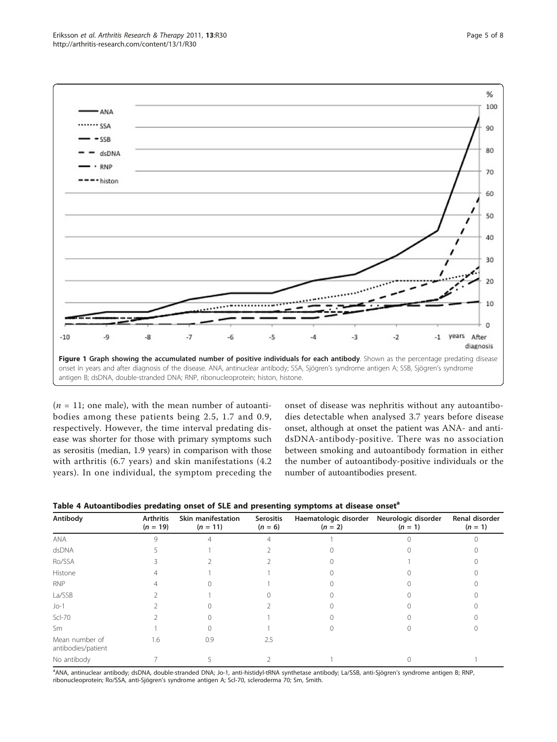<span id="page-4-0"></span>

 $(n = 11;$  one male), with the mean number of autoantibodies among these patients being 2.5, 1.7 and 0.9, respectively. However, the time interval predating disease was shorter for those with primary symptoms such as serositis (median, 1.9 years) in comparison with those with arthritis (6.7 years) and skin manifestations (4.2 years). In one individual, the symptom preceding the onset of disease was nephritis without any autoantibodies detectable when analysed 3.7 years before disease onset, although at onset the patient was ANA- and antidsDNA-antibody-positive. There was no association between smoking and autoantibody formation in either the number of autoantibody-positive individuals or the number of autoantibodies present.

|  |  |  | Table 4 Autoantibodies predating onset of SLE and presenting symptoms at disease onset <sup>a</sup> |
|--|--|--|-----------------------------------------------------------------------------------------------------|
|--|--|--|-----------------------------------------------------------------------------------------------------|

| Antibody                             | <b>Arthritis</b><br>$(n = 19)$ | Skin manifestation<br>$(n = 11)$ | <b>Serositis</b><br>$(n = 6)$ | Haematologic disorder<br>$(n = 2)$ | Neurologic disorder<br>$(n = 1)$ | Renal disorder<br>$(n = 1)$ |
|--------------------------------------|--------------------------------|----------------------------------|-------------------------------|------------------------------------|----------------------------------|-----------------------------|
| ANA                                  |                                |                                  |                               |                                    |                                  |                             |
| dsDNA                                |                                |                                  |                               |                                    |                                  |                             |
| Ro/SSA                               |                                |                                  |                               |                                    |                                  |                             |
| Histone                              |                                |                                  |                               |                                    |                                  |                             |
| <b>RNP</b>                           |                                |                                  |                               |                                    |                                  |                             |
| La/SSB                               |                                |                                  |                               |                                    |                                  |                             |
| $Jo-1$                               |                                |                                  |                               |                                    |                                  |                             |
| $Scl-70$                             |                                |                                  |                               |                                    |                                  |                             |
| Sm                                   |                                |                                  |                               |                                    |                                  |                             |
| Mean number of<br>antibodies/patient | 1.6                            | 0.9                              | 2.5                           |                                    |                                  |                             |
| No antibody                          |                                |                                  |                               |                                    |                                  |                             |

a ANA, antinuclear antibody; dsDNA, double-stranded DNA; Jo-1, anti-histidyl-tRNA synthetase antibody; La/SSB, anti-Sjögren's syndrome antigen B; RNP, ribonucleoprotein; Ro/SSA, anti-Sjögren's syndrome antigen A; Scl-70, scleroderma 70; Sm, Smith.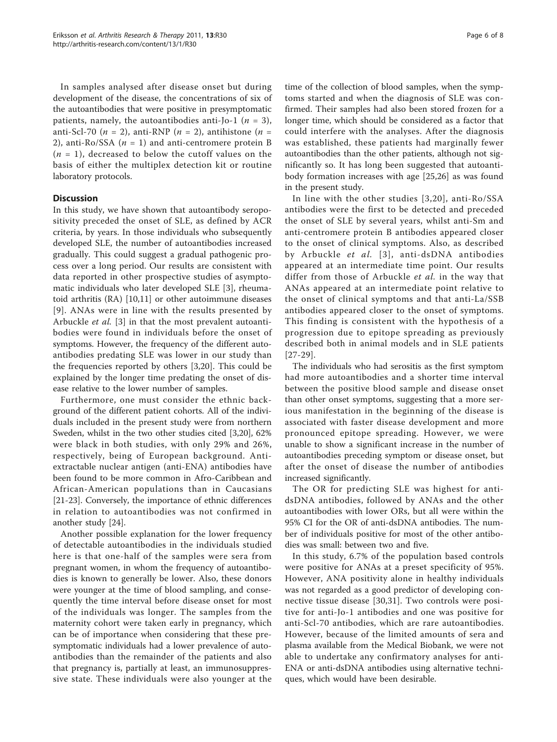In samples analysed after disease onset but during development of the disease, the concentrations of six of the autoantibodies that were positive in presymptomatic patients, namely, the autoantibodies anti-Jo-1 ( $n = 3$ ), anti-Scl-70 ( $n = 2$ ), anti-RNP ( $n = 2$ ), antihistone ( $n =$ 2), anti-Ro/SSA ( $n = 1$ ) and anti-centromere protein B  $(n = 1)$ , decreased to below the cutoff values on the basis of either the multiplex detection kit or routine laboratory protocols.

## **Discussion**

In this study, we have shown that autoantibody seropositivity preceded the onset of SLE, as defined by ACR criteria, by years. In those individuals who subsequently developed SLE, the number of autoantibodies increased gradually. This could suggest a gradual pathogenic process over a long period. Our results are consistent with data reported in other prospective studies of asymptomatic individuals who later developed SLE [[3\]](#page-6-0), rheumatoid arthritis (RA) [[10,11](#page-7-0)] or other autoimmune diseases [[9](#page-6-0)]. ANAs were in line with the results presented by Arbuckle et al. [\[3](#page-6-0)] in that the most prevalent autoantibodies were found in individuals before the onset of symptoms. However, the frequency of the different autoantibodies predating SLE was lower in our study than the frequencies reported by others [\[3](#page-6-0)[,20](#page-7-0)]. This could be explained by the longer time predating the onset of disease relative to the lower number of samples.

Furthermore, one must consider the ethnic background of the different patient cohorts. All of the individuals included in the present study were from northern Sweden, whilst in the two other studies cited [[3](#page-6-0),[20](#page-7-0)], 62% were black in both studies, with only 29% and 26%, respectively, being of European background. Antiextractable nuclear antigen (anti-ENA) antibodies have been found to be more common in Afro-Caribbean and African-American populations than in Caucasians [[21-23\]](#page-7-0). Conversely, the importance of ethnic differences in relation to autoantibodies was not confirmed in another study [\[24](#page-7-0)].

Another possible explanation for the lower frequency of detectable autoantibodies in the individuals studied here is that one-half of the samples were sera from pregnant women, in whom the frequency of autoantibodies is known to generally be lower. Also, these donors were younger at the time of blood sampling, and consequently the time interval before disease onset for most of the individuals was longer. The samples from the maternity cohort were taken early in pregnancy, which can be of importance when considering that these presymptomatic individuals had a lower prevalence of autoantibodies than the remainder of the patients and also that pregnancy is, partially at least, an immunosuppressive state. These individuals were also younger at the

time of the collection of blood samples, when the symptoms started and when the diagnosis of SLE was confirmed. Their samples had also been stored frozen for a longer time, which should be considered as a factor that could interfere with the analyses. After the diagnosis was established, these patients had marginally fewer autoantibodies than the other patients, although not significantly so. It has long been suggested that autoantibody formation increases with age [\[25](#page-7-0),[26](#page-7-0)] as was found in the present study.

In line with the other studies [[3,](#page-6-0)[20](#page-7-0)], anti-Ro/SSA antibodies were the first to be detected and preceded the onset of SLE by several years, whilst anti-Sm and anti-centromere protein B antibodies appeared closer to the onset of clinical symptoms. Also, as described by Arbuckle et al. [[3\]](#page-6-0), anti-dsDNA antibodies appeared at an intermediate time point. Our results differ from those of Arbuckle et al. in the way that ANAs appeared at an intermediate point relative to the onset of clinical symptoms and that anti-La/SSB antibodies appeared closer to the onset of symptoms. This finding is consistent with the hypothesis of a progression due to epitope spreading as previously described both in animal models and in SLE patients [[27](#page-7-0)-[29](#page-7-0)].

The individuals who had serositis as the first symptom had more autoantibodies and a shorter time interval between the positive blood sample and disease onset than other onset symptoms, suggesting that a more serious manifestation in the beginning of the disease is associated with faster disease development and more pronounced epitope spreading. However, we were unable to show a significant increase in the number of autoantibodies preceding symptom or disease onset, but after the onset of disease the number of antibodies increased significantly.

The OR for predicting SLE was highest for antidsDNA antibodies, followed by ANAs and the other autoantibodies with lower ORs, but all were within the 95% CI for the OR of anti-dsDNA antibodies. The number of individuals positive for most of the other antibodies was small: between two and five.

In this study, 6.7% of the population based controls were positive for ANAs at a preset specificity of 95%. However, ANA positivity alone in healthy individuals was not regarded as a good predictor of developing connective tissue disease [[30](#page-7-0),[31\]](#page-7-0). Two controls were positive for anti-Jo-1 antibodies and one was positive for anti-Scl-70 antibodies, which are rare autoantibodies. However, because of the limited amounts of sera and plasma available from the Medical Biobank, we were not able to undertake any confirmatory analyses for anti-ENA or anti-dsDNA antibodies using alternative techniques, which would have been desirable.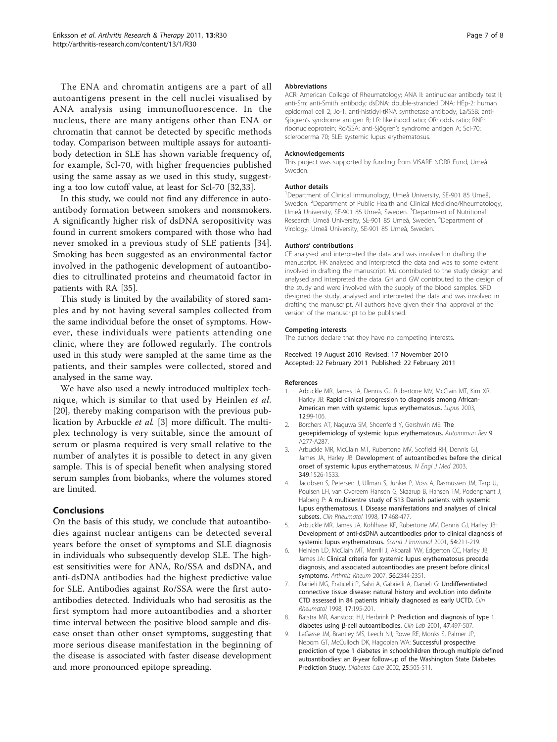<span id="page-6-0"></span>The ENA and chromatin antigens are a part of all autoantigens present in the cell nuclei visualised by ANA analysis using immunofluorescence. In the nucleus, there are many antigens other than ENA or chromatin that cannot be detected by specific methods today. Comparison between multiple assays for autoantibody detection in SLE has shown variable frequency of, for example, Scl-70, with higher frequencies published using the same assay as we used in this study, suggesting a too low cutoff value, at least for Scl-70 [\[32,33](#page-7-0)].

In this study, we could not find any difference in autoantibody formation between smokers and nonsmokers. A significantly higher risk of dsDNA seropositivity was found in current smokers compared with those who had never smoked in a previous study of SLE patients [[34](#page-7-0)]. Smoking has been suggested as an environmental factor involved in the pathogenic development of autoantibodies to citrullinated proteins and rheumatoid factor in patients with RA [\[35](#page-7-0)].

This study is limited by the availability of stored samples and by not having several samples collected from the same individual before the onset of symptoms. However, these individuals were patients attending one clinic, where they are followed regularly. The controls used in this study were sampled at the same time as the patients, and their samples were collected, stored and analysed in the same way.

We have also used a newly introduced multiplex technique, which is similar to that used by Heinlen et al. [[20\]](#page-7-0), thereby making comparison with the previous publication by Arbuckle et al. [3] more difficult. The multiplex technology is very suitable, since the amount of serum or plasma required is very small relative to the number of analytes it is possible to detect in any given sample. This is of special benefit when analysing stored serum samples from biobanks, where the volumes stored are limited.

## Conclusions

On the basis of this study, we conclude that autoantibodies against nuclear antigens can be detected several years before the onset of symptoms and SLE diagnosis in individuals who subsequently develop SLE. The highest sensitivities were for ANA, Ro/SSA and dsDNA, and anti-dsDNA antibodies had the highest predictive value for SLE. Antibodies against Ro/SSA were the first autoantibodies detected. Individuals who had serositis as the first symptom had more autoantibodies and a shorter time interval between the positive blood sample and disease onset than other onset symptoms, suggesting that more serious disease manifestation in the beginning of the disease is associated with faster disease development and more pronounced epitope spreading.

#### Abbreviations

ACR: American College of Rheumatology; ANA II: antinuclear antibody test II; anti-Sm: anti-Smith antibody; dsDNA: double-stranded DNA; HEp-2: human epidermal cell 2; Jo-1: anti-histidyl-tRNA synthetase antibody; La/SSB: anti-Sjögren's syndrome antigen B; LR: likelihood ratio; OR: odds ratio; RNP: ribonucleoprotein; Ro/SSA: anti-Sjögren's syndrome antigen A; Scl-70: scleroderma 70; SLE: systemic lupus erythematosus.

#### Acknowledgements

This project was supported by funding from VISARE NORR Fund, Umeå Sweden.

#### Author details

1 Department of Clinical Immunology, Umeå University, SE-901 85 Umeå, Sweden. <sup>2</sup>Department of Public Health and Clinical Medicine/Rheumatology, Umeå University, SE-901 85 Umeå, Sweden. <sup>3</sup>Department of Nutritional Research, Umeå University, SE-901 85 Umeå, Sweden. <sup>4</sup>Department of Virology, Umeå University, SE-901 85 Umeå, Sweden.

#### Authors' contributions

CE analysed and interpreted the data and was involved in drafting the manuscript. HK analysed and interpreted the data and was to some extent involved in drafting the manuscript. MJ contributed to the study design and analysed and interpreted the data. GH and GW contributed to the design of the study and were involved with the supply of the blood samples. SRD designed the study, analysed and interpreted the data and was involved in drafting the manuscript. All authors have given their final approval of the version of the manuscript to be published.

#### Competing interests

The authors declare that they have no competing interests.

#### Received: 19 August 2010 Revised: 17 November 2010 Accepted: 22 February 2011 Published: 22 February 2011

#### References

- 1. Arbuckle MR, James JA, Dennis GJ, Rubertone MV, McClain MT, Kim XR, Harley JB: [Rapid clinical progression to diagnosis among African-](http://www.ncbi.nlm.nih.gov/pubmed/12630753?dopt=Abstract)[American men with systemic lupus erythematosus.](http://www.ncbi.nlm.nih.gov/pubmed/12630753?dopt=Abstract) Lupus 2003, 12:99-106.
- 2. Borchers AT, Naguwa SM, Shoenfeld Y, Gershwin ME: [The](http://www.ncbi.nlm.nih.gov/pubmed/20036343?dopt=Abstract) [geoepidemiology of systemic lupus erythematosus.](http://www.ncbi.nlm.nih.gov/pubmed/20036343?dopt=Abstract) Autoimmun Rev 9: A277-A287
- 3. Arbuckle MR, McClain MT, Rubertone MV, Scofield RH, Dennis GJ, James JA, Harley JB: [Development of autoantibodies before the clinical](http://www.ncbi.nlm.nih.gov/pubmed/14561795?dopt=Abstract) [onset of systemic lupus erythematosus.](http://www.ncbi.nlm.nih.gov/pubmed/14561795?dopt=Abstract) N Engl J Med 2003, 349:1526-1533.
- 4. Jacobsen S, Petersen J, Ullman S, Junker P, Voss A, Rasmussen JM, Tarp U, Poulsen LH, van Overeem Hansen G, Skaarup B, Hansen TM, Podenphant J, Halberg P: [A multicentre study of 513 Danish patients with systemic](http://www.ncbi.nlm.nih.gov/pubmed/9890674?dopt=Abstract) [lupus erythematosus. I. Disease manifestations and analyses of clinical](http://www.ncbi.nlm.nih.gov/pubmed/9890674?dopt=Abstract) [subsets.](http://www.ncbi.nlm.nih.gov/pubmed/9890674?dopt=Abstract) Clin Rheumatol 1998, 17:468-477.
- 5. Arbuckle MR, James JA, Kohlhase KF, Rubertone MV, Dennis GJ, Harley JB: [Development of anti-dsDNA autoantibodies prior to clinical diagnosis of](http://www.ncbi.nlm.nih.gov/pubmed/11439169?dopt=Abstract) [systemic lupus erythematosus.](http://www.ncbi.nlm.nih.gov/pubmed/11439169?dopt=Abstract) Scand J Immunol 2001, 54:211-219.
- 6. Heinlen LD, McClain MT, Merrill J, Akbarali YW, Edgerton CC, Harley JB, James JA: [Clinical criteria for systemic lupus erythematosus precede](http://www.ncbi.nlm.nih.gov/pubmed/17599763?dopt=Abstract) [diagnosis, and associated autoantibodies are present before clinical](http://www.ncbi.nlm.nih.gov/pubmed/17599763?dopt=Abstract) [symptoms.](http://www.ncbi.nlm.nih.gov/pubmed/17599763?dopt=Abstract) Arthritis Rheum 2007, 56:2344-2351.
- 7. Danieli MG, Fraticelli P, Salvi A, Gabrielli A, Danieli G: [Undifferentiated](http://www.ncbi.nlm.nih.gov/pubmed/9694051?dopt=Abstract) [connective tissue disease: natural history and evolution into definite](http://www.ncbi.nlm.nih.gov/pubmed/9694051?dopt=Abstract) [CTD assessed in 84 patients initially diagnosed as early UCTD.](http://www.ncbi.nlm.nih.gov/pubmed/9694051?dopt=Abstract) Clin Rheumatol 1998, 17:195-201.
- 8. Batstra MR, Aanstoot HJ, Herbrink P: [Prediction and diagnosis of type 1](http://www.ncbi.nlm.nih.gov/pubmed/11596913?dopt=Abstract) diabetes using β[-cell autoantibodies.](http://www.ncbi.nlm.nih.gov/pubmed/11596913?dopt=Abstract) Clin Lab 2001, 47:497-507.
- 9. LaGasse JM, Brantley MS, Leech NJ, Rowe RE, Monks S, Palmer JP, Nepom GT, McCulloch DK, Hagopian WA: [Successful prospective](http://www.ncbi.nlm.nih.gov/pubmed/11874938?dopt=Abstract) [prediction of type 1 diabetes in schoolchildren through multiple defined](http://www.ncbi.nlm.nih.gov/pubmed/11874938?dopt=Abstract) [autoantibodies: an 8-year follow-up of the Washington State Diabetes](http://www.ncbi.nlm.nih.gov/pubmed/11874938?dopt=Abstract) [Prediction Study.](http://www.ncbi.nlm.nih.gov/pubmed/11874938?dopt=Abstract) Diabetes Care 2002, 25:505-511.